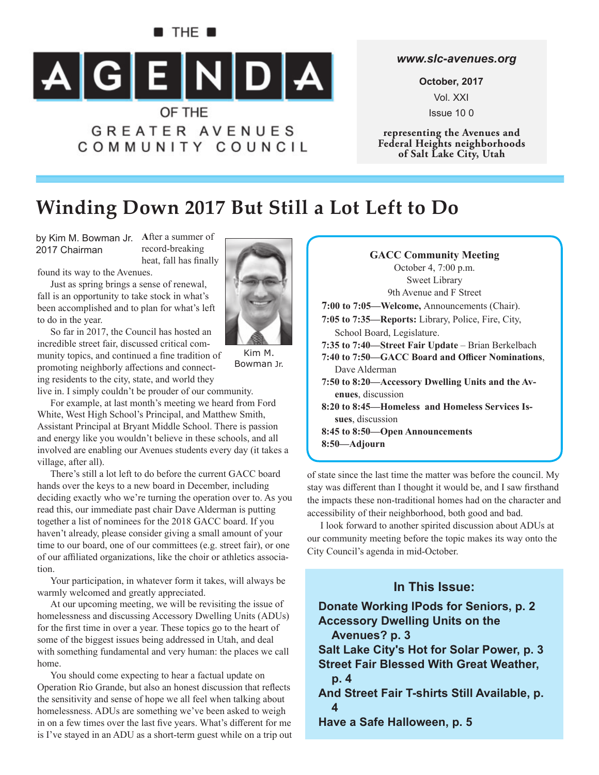# **B** THE **B**  $\begin{array}{|c|c|c|c|c|}\n\hline\n\text{A} & \text{G} & \text{E} & \text{N} & \text{D} & \text{A}\n\end{array}$ OF THE **GREATER AVENUES**

COMMUNITY COUNCIL

#### *www.slc-avenues.org*

**October, 2017** Vol. XXI Issue 10 0

**representing the Avenues and Federal Heights neighborhoods of Salt Lake City, Utah**

## **Winding Down 2017 But Still a Lot Left to Do**

by Kim M. Bowman Jr. After a summer of 2017 Chairman

record-breaking heat, fall has finally

found its way to the Avenues.

Just as spring brings a sense of renewal, fall is an opportunity to take stock in what's been accomplished and to plan for what's left to do in the year.

So far in 2017, the Council has hosted an incredible street fair, discussed critical community topics, and continued a fine tradition of promoting neighborly affections and connecting residents to the city, state, and world they

live in. I simply couldn't be prouder of our community.

For example, at last month's meeting we heard from Ford White, West High School's Principal, and Matthew Smith, Assistant Principal at Bryant Middle School. There is passion and energy like you wouldn't believe in these schools, and all involved are enabling our Avenues students every day (it takes a village, after all).

There's still a lot left to do before the current GACC board hands over the keys to a new board in December, including deciding exactly who we're turning the operation over to. As you read this, our immediate past chair Dave Alderman is putting together a list of nominees for the 2018 GACC board. If you haven't already, please consider giving a small amount of your time to our board, one of our committees (e.g. street fair), or one of our affiliated organizations, like the choir or athletics association.

Your participation, in whatever form it takes, will always be warmly welcomed and greatly appreciated.

At our upcoming meeting, we will be revisiting the issue of homelessness and discussing Accessory Dwelling Units (ADUs) for the first time in over a year. These topics go to the heart of some of the biggest issues being addressed in Utah, and deal with something fundamental and very human: the places we call home.

You should come expecting to hear a factual update on Operation Rio Grande, but also an honest discussion that reflects the sensitivity and sense of hope we all feel when talking about homelessness. ADUs are something we've been asked to weigh in on a few times over the last five years. What's different for me is I've stayed in an ADU as a short-term guest while on a trip out



of state since the last time the matter was before the council. My stay was different than I thought it would be, and I saw firsthand the impacts these non-traditional homes had on the character and accessibility of their neighborhood, both good and bad.

I look forward to another spirited discussion about ADUs at our community meeting before the topic makes its way onto the City Council's agenda in mid-October.

### **In This Issue:**

**Donate Working IPods for Seniors, p. 2 Accessory Dwelling Units on the Avenues? p. 3 Salt Lake City's Hot for Solar Power, p. 3 Street Fair Blessed With Great Weather, p. 4 And Street Fair T-shirts Still Available, p. 4 Have a Safe Halloween, p. 5**



Kim M. Bowman Jr.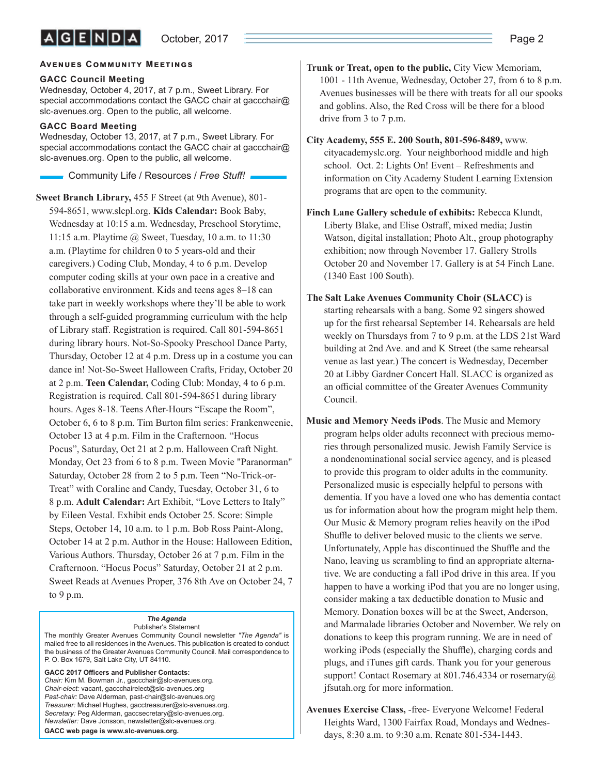#### **AVENUES COMMUNITY MEETINGS**

#### **GACC Council Meeting**

Wednesday, October 4, 2017, at 7 p.m., Sweet Library. For special accommodations contact the GACC chair at gaccchair@ slc-avenues.org. Open to the public, all welcome.

#### **GACC Board Meeting**

Wednesday, October 13, 2017, at 7 p.m., Sweet Library. For special accommodations contact the GACC chair at gaccchair@ slc-avenues.org. Open to the public, all welcome.

**Community Life / Resources / Free Stuff!** 

**Sweet Branch Library,** 455 F Street (at 9th Avenue), 801- 594-8651, www.slcpl.org. **Kids Calendar:** Book Baby, Wednesday at 10:15 a.m. Wednesday, Preschool Storytime, 11:15 a.m. Playtime @ Sweet, Tuesday, 10 a.m. to 11:30 a.m. (Playtime for children 0 to 5 years-old and their caregivers.) Coding Club, Monday, 4 to 6 p.m. Develop computer coding skills at your own pace in a creative and collaborative environment. Kids and teens ages 8–18 can take part in weekly workshops where they'll be able to work through a self-guided programming curriculum with the help of Library staff. Registration is required. Call 801-594-8651 during library hours. Not-So-Spooky Preschool Dance Party, Thursday, October 12 at 4 p.m. Dress up in a costume you can dance in! Not-So-Sweet Halloween Crafts, Friday, October 20 at 2 p.m. **Teen Calendar,** Coding Club: Monday, 4 to 6 p.m. Registration is required. Call 801-594-8651 during library hours. Ages 8-18. Teens After-Hours "Escape the Room", October 6, 6 to 8 p.m. Tim Burton film series: Frankenweenie, October 13 at 4 p.m. Film in the Crafternoon. "Hocus Pocus", Saturday, Oct 21 at 2 p.m. Halloween Craft Night. Monday, Oct 23 from 6 to 8 p.m. Tween Movie "Paranorman" Saturday, October 28 from 2 to 5 p.m. Teen "No-Trick-or-Treat" with Coraline and Candy, Tuesday, October 31, 6 to 8 p.m. **Adult Calendar:** Art Exhibit, "Love Letters to Italy" by Eileen Vestal. Exhibit ends October 25. Score: Simple Steps, October 14, 10 a.m. to 1 p.m. Bob Ross Paint-Along, October 14 at 2 p.m. Author in the House: Halloween Edition, Various Authors. Thursday, October 26 at 7 p.m. Film in the Crafternoon. "Hocus Pocus" Saturday, October 21 at 2 p.m. Sweet Reads at Avenues Proper, 376 8th Ave on October 24, 7 to 9 p.m.

#### *The Agenda* Publisher's Statement

The monthly Greater Avenues Community Council newsletter *"The Agenda"* is mailed free to all residences in the Avenues. This publication is created to conduct the business of the Greater Avenues Community Council. Mail correspondence to P. O. Box 1679, Salt Lake City, UT 84110.

GACC 2017 Officers and Publisher Contacts: *Chair:* Kim M. Bowman Jr., gaccchair@slc-avenues.org. *Chair-elect:* vacant, gaccchairelect@slc-avenues.org *Past-chair:* Dave Alderman, past-chair@slc-avenues.org *Treasurer:* Michael Hughes, gacctreasurer@slc-avenues.org. *Secretary:* Peg Alderman, gaccsecretary@slc-avenues.org. *Newsletter:* Dave Jonsson, newsletter@slc-avenues.org. **GACC web page is www.slc-avenues.org.**

**Trunk or Treat, open to the public,** City View Memoriam, 1001 - 11th Avenue, Wednesday, October 27, from 6 to 8 p.m. Avenues businesses will be there with treats for all our spooks and goblins. Also, the Red Cross will be there for a blood drive from 3 to 7 p.m.

**City Academy, 555 E. 200 South, 801-596-8489,** www. cityacademyslc.org. Your neighborhood middle and high school. Oct. 2: Lights On! Event – Refreshments and information on City Academy Student Learning Extension programs that are open to the community.

- **Finch Lane Gallery schedule of exhibits:** Rebecca Klundt, Liberty Blake, and Elise Ostraff, mixed media; Justin Watson, digital installation; Photo Alt., group photography exhibition; now through November 17. Gallery Strolls October 20 and November 17. Gallery is at 54 Finch Lane. (1340 East 100 South).
- **The Salt Lake Avenues Community Choir (SLACC)** is starting rehearsals with a bang. Some 92 singers showed up for the first rehearsal September 14. Rehearsals are held weekly on Thursdays from 7 to 9 p.m. at the LDS 21st Ward building at 2nd Ave. and and K Street (the same rehearsal venue as last year.) The concert is Wednesday, December 20 at Libby Gardner Concert Hall. SLACC is organized as an official committee of the Greater Avenues Community Council.
- **Music and Memory Needs iPods**. The Music and Memory program helps older adults reconnect with precious memories through personalized music. Jewish Family Service is a nondenominational social service agency, and is pleased to provide this program to older adults in the community. Personalized music is especially helpful to persons with dementia. If you have a loved one who has dementia contact us for information about how the program might help them. Our Music & Memory program relies heavily on the iPod Shuffle to deliver beloved music to the clients we serve. Unfortunately, Apple has discontinued the Shuffle and the Nano, leaving us scrambling to find an appropriate alternative. We are conducting a fall iPod drive in this area. If you happen to have a working iPod that you are no longer using, consider making a tax deductible donation to Music and Memory. Donation boxes will be at the Sweet, Anderson, and Marmalade libraries October and November. We rely on donations to keep this program running. We are in need of working iPods (especially the Shuffle), charging cords and plugs, and iTunes gift cards. Thank you for your generous support! Contact Rosemary at 801.746.4334 or rosemary@ jfsutah.org for more information.

**Avenues Exercise Class,** -free- Everyone Welcome! Federal Heights Ward, 1300 Fairfax Road, Mondays and Wednesdays, 8:30 a.m. to 9:30 a.m. Renate 801-534-1443.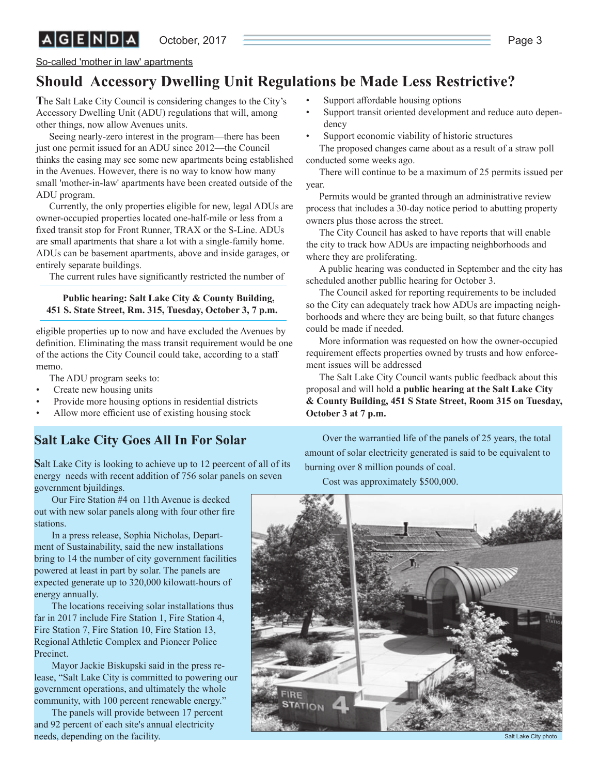October, 2017 **Page 3** Page 3

So-called 'mother in law' apartments

 $|A|G|E|N|D|A|$ 

## **Should Accessory Dwelling Unit Regulations be Made Less Restrictive?**

**T**he Salt Lake City Council is considering changes to the City's Accessory Dwelling Unit (ADU) regulations that will, among other things, now allow Avenues units.

Seeing nearly-zero interest in the program—there has been just one permit issued for an ADU since 2012—the Council thinks the easing may see some new apartments being established in the Avenues. However, there is no way to know how many small 'mother-in-law' apartments have been created outside of the ADU program.

Currently, the only properties eligible for new, legal ADUs are owner-occupied properties located one-half-mile or less from a fixed transit stop for Front Runner, TRAX or the S-Line. ADUs are small apartments that share a lot with a single-family home. ADUs can be basement apartments, above and inside garages, or entirely separate buildings.

The current rules have significantly restricted the number of

#### **Public hearing: Salt Lake City & County Building, 451 S. State Street, Rm. 315, Tuesday, October 3, 7 p.m.**

eligible properties up to now and have excluded the Avenues by definition. Eliminating the mass transit requirement would be one of the actions the City Council could take, according to a staff memo.

The ADU program seeks to:

- Create new housing units
- Provide more housing options in residential districts
- Allow more efficient use of existing housing stock

### **Salt Lake City Goes All In For Solar**

**S**alt Lake City is looking to achieve up to 12 peercent of all of its energy needs with recent addition of 756 solar panels on seven government bjuildings.

Our Fire Station #4 on 11th Avenue is decked out with new solar panels along with four other fire stations.

In a press release, Sophia Nicholas, Department of Sustainability, said the new installations bring to 14 the number of city government facilities powered at least in part by solar. The panels are expected generate up to 320,000 kilowatt-hours of energy annually.

The locations receiving solar installations thus far in 2017 include Fire Station 1, Fire Station 4, Fire Station 7, Fire Station 10, Fire Station 13, Regional Athletic Complex and Pioneer Police Precinct.

Mayor Jackie Biskupski said in the press release, "Salt Lake City is committed to powering our government operations, and ultimately the whole community, with 100 percent renewable energy."

The panels will provide between 17 percent and 92 percent of each site's annual electricity needs, depending on the facility.

- Support affordable housing options
- Support transit oriented development and reduce auto dependency
- Support economic viability of historic structures

The proposed changes came about as a result of a straw poll conducted some weeks ago.

There will continue to be a maximum of 25 permits issued per year.

Permits would be granted through an administrative review process that includes a 30-day notice period to abutting property owners plus those across the street.

The City Council has asked to have reports that will enable the city to track how ADUs are impacting neighborhoods and where they are proliferating.

A public hearing was conducted in September and the city has scheduled another publlic hearing for October 3.

The Council asked for reporting requirements to be included so the City can adequately track how ADUs are impacting neighborhoods and where they are being built, so that future changes could be made if needed.

More information was requested on how the owner-occupied requirement effects properties owned by trusts and how enforcement issues will be addressed

The Salt Lake City Council wants public feedback about this proposal and will hold **a public hearing at the Salt Lake City & County Building, 451 S State Street, Room 315 on Tuesday, October 3 at 7 p.m.**

Over the warrantied life of the panels of 25 years, the total amount of solar electricity generated is said to be equivalent to burning over 8 million pounds of coal.

Cost was approximately \$500,000.



Salt Lake City photo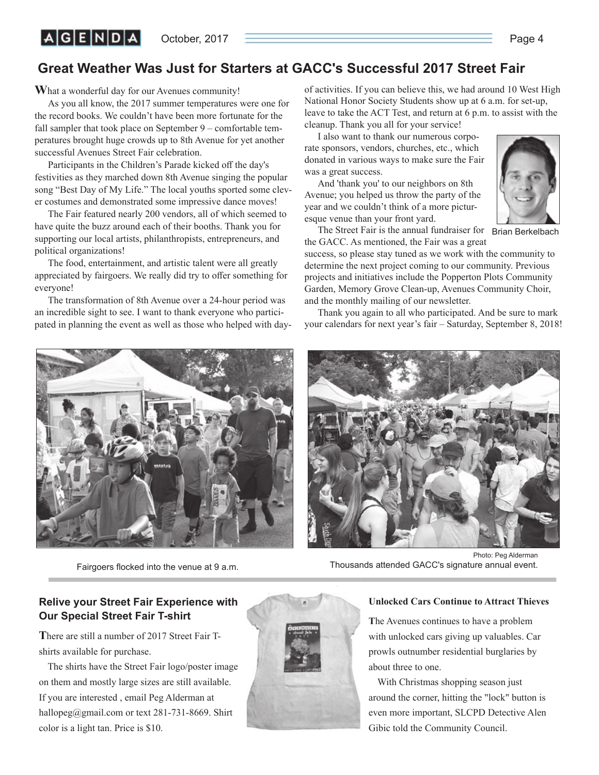October, 2017 **Page 4** 

## **Great Weather Was Just for Starters at GACC's Successful 2017 Street Fair**

**W**hat a wonderful day for our Avenues community!

As you all know, the 2017 summer temperatures were one for the record books. We couldn't have been more fortunate for the fall sampler that took place on September 9 – comfortable temperatures brought huge crowds up to 8th Avenue for yet another successful Avenues Street Fair celebration.

Participants in the Children's Parade kicked off the day's festivities as they marched down 8th Avenue singing the popular song "Best Day of My Life." The local youths sported some clever costumes and demonstrated some impressive dance moves!

The Fair featured nearly 200 vendors, all of which seemed to have quite the buzz around each of their booths. Thank you for supporting our local artists, philanthropists, entrepreneurs, and political organizations!

The food, entertainment, and artistic talent were all greatly appreciated by fairgoers. We really did try to offer something for everyone!

The transformation of 8th Avenue over a 24-hour period was an incredible sight to see. I want to thank everyone who participated in planning the event as well as those who helped with day-

of activities. If you can believe this, we had around 10 West High National Honor Society Students show up at 6 a.m. for set-up, leave to take the ACT Test, and return at 6 p.m. to assist with the cleanup. Thank you all for your service!

I also want to thank our numerous corporate sponsors, vendors, churches, etc., which donated in various ways to make sure the Fair was a great success.

And 'thank you' to our neighbors on 8th Avenue; you helped us throw the party of the year and we couldn't think of a more picturesque venue than your front yard.



The Street Fair is the annual fundraiser for Brian Berkelbach the GACC. As mentioned, the Fair was a great

success, so please stay tuned as we work with the community to determine the next project coming to our community. Previous projects and initiatives include the Popperton Plots Community Garden, Memory Grove Clean-up, Avenues Community Choir, and the monthly mailing of our newsletter.

Thank you again to all who participated. And be sure to mark your calendars for next year's fair – Saturday, September 8, 2018!



Fairgoers flocked into the venue at 9 a.m.



Photo: Peg Alderman Thousands attended GACC's signature annual event.

#### **Relive your Street Fair Experience with Our Special Street Fair T-shirt**

**T**here are still a number of 2017 Street Fair Tshirts available for purchase.

The shirts have the Street Fair logo/poster image on them and mostly large sizes are still available. If you are interested , email Peg Alderman at hallopeg@gmail.com or text 281-731-8669. Shirt color is a light tan. Price is \$10.



#### **Unlocked Cars Continue to Attract Thieves**

**T**he Avenues continues to have a problem with unlocked cars giving up valuables. Car prowls outnumber residential burglaries by about three to one.

With Christmas shopping season just around the corner, hitting the "lock" button is even more important, SLCPD Detective Alen Gibic told the Community Council.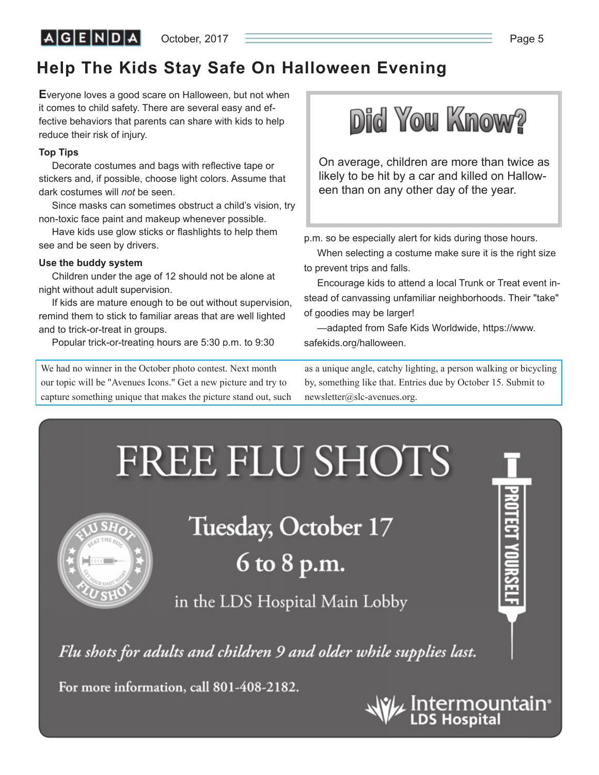$A|G|E|N|D|A|$ 

October, 2017 **Page 5** 

## **Help The Kids Stay Safe On Halloween Evening**

**E**veryone loves a good scare on Halloween, but not when it comes to child safety. There are several easy and effective behaviors that parents can share with kids to help reduce their risk of injury.

#### **Top Tips**

Decorate costumes and bags with reflective tape or stickers and, if possible, choose light colors. Assume that dark costumes will *not* be seen.

Since masks can sometimes obstruct a child's vision, try non-toxic face paint and makeup whenever possible.

Have kids use glow sticks or flashlights to help them see and be seen by drivers.

#### **Use the buddy system**

Children under the age of 12 should not be alone at night without adult supervision.

If kids are mature enough to be out without supervision, remind them to stick to familiar areas that are well lighted and to trick-or-treat in groups.

Popular trick-or-treating hours are 5:30 p.m. to 9:30

We had no winner in the October photo contest. Next month our topic will be "Avenues Icons." Get a new picture and try to capture something unique that makes the picture stand out, such



On average, children are more than twice as likely to be hit by a car and killed on Halloween than on any other day of the year.

p.m. so be especially alert for kids during those hours.

When selecting a costume make sure it is the right size to prevent trips and falls.

Encourage kids to attend a local Trunk or Treat event instead of canvassing unfamiliar neighborhoods. Their "take" of goodies may be larger!

—adapted from Safe Kids Worldwide, https://www. safekids.org/halloween.

as a unique angle, catchy lighting, a person walking or bicycling by, something like that. Entries due by October 15. Submit to newsletter@slc-avenues.org.



For more information, call 801-408-2182.